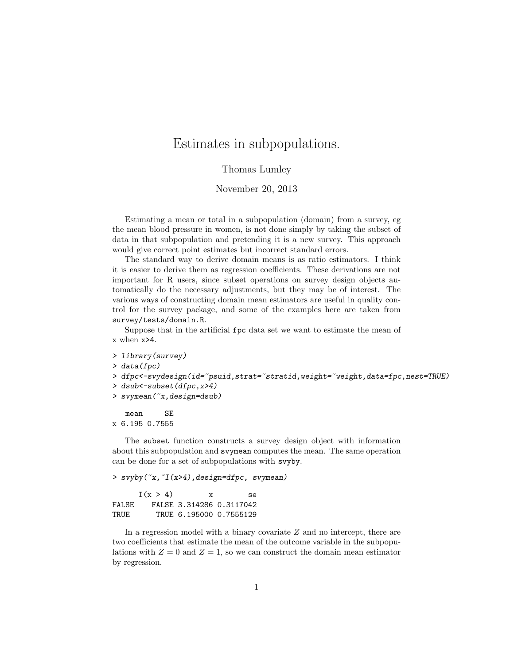## Estimates in subpopulations.

Thomas Lumley

## November 20, 2013

Estimating a mean or total in a subpopulation (domain) from a survey, eg the mean blood pressure in women, is not done simply by taking the subset of data in that subpopulation and pretending it is a new survey. This approach would give correct point estimates but incorrect standard errors.

The standard way to derive domain means is as ratio estimators. I think it is easier to derive them as regression coefficients. These derivations are not important for R users, since subset operations on survey design objects automatically do the necessary adjustments, but they may be of interest. The various ways of constructing domain mean estimators are useful in quality control for the survey package, and some of the examples here are taken from survey/tests/domain.R.

Suppose that in the artificial fpc data set we want to estimate the mean of x when x>4.

```
> library(survey)
> data(fpc)
> dfpc<-svydesign(id=~psuid,strat=~stratid,weight=~weight,data=fpc,nest=TRUE)
> dsub<-subset(dfpc,x>4)
```
> svymean(~x,design=dsub)

mean SE x 6.195 0.7555

The subset function constructs a survey design object with information about this subpopulation and svymean computes the mean. The same operation can be done for a set of subpopulations with svyby.

> svyby(~x,~I(x>4),design=dfpc, svymean)

|       | I(x > 4) | X | Se.                      |
|-------|----------|---|--------------------------|
| FALSE |          |   | FALSE 3.314286 0.3117042 |
| TRUE. |          |   | TRUE 6.195000 0.7555129  |

In a regression model with a binary covariate Z and no intercept, there are two coefficients that estimate the mean of the outcome variable in the subpopulations with  $Z = 0$  and  $Z = 1$ , so we can construct the domain mean estimator by regression.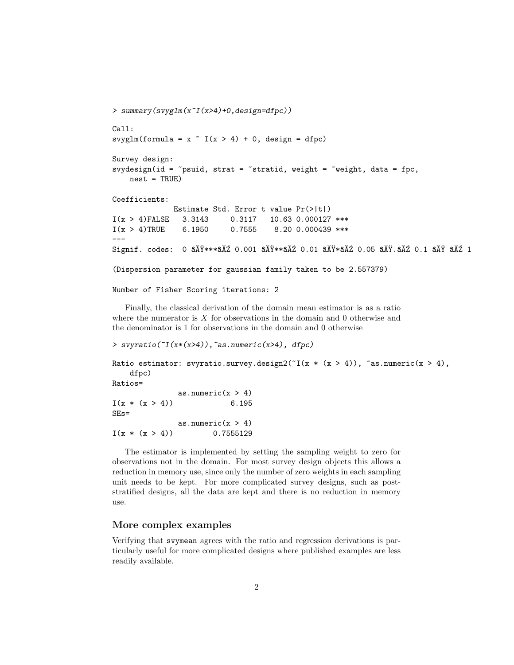```
> summary(svyglm(x~I(x>4)+0,design=dfpc))
Call:
svyglm(formula = x \tilde{I}(x > 4) + 0, design = dfpc)
Survey design:
svydesign(id = \epsilonpsuid, strat = \epsilonstratid, weight = \epsilonweight, data = fpc,
    nest = TRUE)Coefficients:
              Estimate Std. Error t value Pr(>|t|)
I(x > 4)FALSE 3.3143 0.3117 10.63 0.000127 ***
I(x > 4)TRUE 6.1950 0.7555 8.20 0.000439 ***
---
Signif. codes: 0 âĂŸ***âĂŹ 0.001 âĂŸ**âĂŹ 0.01 âĂŸ*âĂŹ 0.05 âĂŸ.âĂŹ 0.1 âĂŸ âĂŹ 1
(Dispersion parameter for gaussian family taken to be 2.557379)
Number of Fisher Scoring iterations: 2
```
Finally, the classical derivation of the domain mean estimator is as a ratio where the numerator is  $X$  for observations in the domain and 0 otherwise and the denominator is 1 for observations in the domain and 0 otherwise

```
> svyratio([I(x*(x>4)), as.numeric(x>4), dfpc)
Ratio estimator: svyratio.survey.design2(T(x * (x > 4)), \tilde{a}s.numeric(x > 4),
   dfpc)
Ratios=
              as.numeric(x > 4)I(x * (x > 4)) 6.195
SEs=
              as.numeric(x > 4)I(x * (x > 4)) 0.7555129
```
The estimator is implemented by setting the sampling weight to zero for observations not in the domain. For most survey design objects this allows a reduction in memory use, since only the number of zero weights in each sampling unit needs to be kept. For more complicated survey designs, such as poststratified designs, all the data are kept and there is no reduction in memory use.

## More complex examples

Verifying that svymean agrees with the ratio and regression derivations is particularly useful for more complicated designs where published examples are less readily available.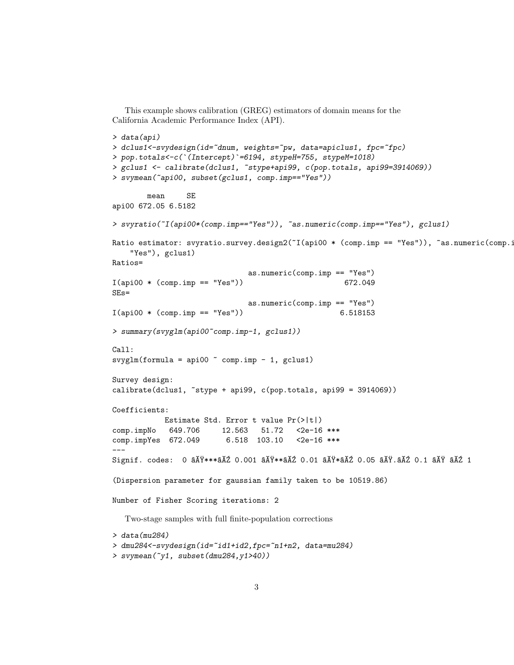```
This example shows calibration (GREG) estimators of domain means for the
California Academic Performance Index (API).
> data(api)
> dclus1<-svydesign(id="dnum, weights="pw, data=apiclus1, fpc="fpc)
> pop.totals<-c(`(Intercept)`=6194, stypeH=755, stypeM=1018)
> gclus1 <- calibrate(dclus1, ~stype+api99, c(pop.totals, api99=3914069))
> svymean(~api00, subset(gclus1, comp.imp=="Yes"))
        mean SE
api00 672.05 6.5182
> svyratio(~I(api00*(comp.imp=="Yes")), ~as.numeric(comp.imp=="Yes"), gclus1)
Ratio estimator: svyratio.survey.design2(~I(api00 * (comp.imp == "Yes")), ~as.numeric(comp.i
    "Yes"), gclus1)
Ratios=
                                 as.numeric(comp.imp == "Yes")
I(api00 * (comp.imp == "Yes") 672.049
SEs=
                                 as.numeric(comp.imp == "Yes")
I(api00 * (comp.imp == "Yes") 6.518153
> summary(svyglm(api00~comp.imp-1, gclus1))
Call:
svglm(formula = api00 ° comp.imp - 1, gclus1)Survey design:
calibrate(dclus1, *style + api99, c(pop.totals, api99 = 3914069))Coefficients:
            Estimate Std. Error t value Pr(>|t|)
comp.impNo 649.706 12.563 51.72 <2e-16 ***
comp.impYes 672.049 6.518 103.10 <2e-16 ***
---
Signif. codes: 0 \tilde{a}X\tilde{Y}***\tilde{a}X\tilde{Z} 0.01 \tilde{a}X\tilde{Y}**\tilde{a}X\tilde{Z} 0.01 \tilde{a}X\tilde{Y}*\tilde{a}X\tilde{Z} 0.05 \tilde{a}X\tilde{Y}.\tilde{a}X\tilde{Z} 0.1 \tilde{a}X\tilde{Y}X\tilde{Z} 1
(Dispersion parameter for gaussian family taken to be 10519.86)
Number of Fisher Scoring iterations: 2
  Two-stage samples with full finite-population corrections
> data(mu284)
> dmu284<-svydesign(id=~id1+id2,fpc=~n1+n2, data=mu284)
> svymean(~y1, subset(dmu284,y1>40))
```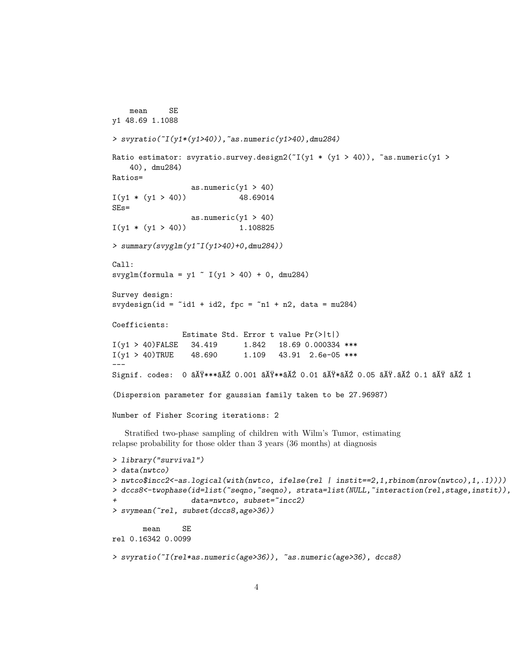```
mean SE
y1 48.69 1.1088
> svyratio(~I(y1*(y1>40)),~as.numeric(y1>40),dmu284)
Ratio estimator: svyratio.survey.design2(T(y1 * (y1 > 40)), \text{~as.}numeric(y1 >
    40), dmu284)
Ratios=
                  as.numeric(y1 > 40)
I(y1 * (y1 > 40)) 48.69014
SEs=
                  as.numeric(y1 > 40)
I(y1 * (y1 > 40)) 1.108825
> summary(svyglm(y1~I(y1>40)+0,dmu284))
Call:
svyglm(formula = y1 \tilde{ } I(y1 > 40) + 0, dmu284)
Survey design:
svydesign(id = \tilde{i}d1 + id2, fpc = \tilde{i}n1 + n2, data = mu284)
Coefficients:
                Estimate Std. Error t value Pr(>|t|)
I(y1 > 40)FALSE 34.419 1.842 18.69 0.000334 ***
I(y1 > 40)TRUE 48.690 1.109 43.91 2.6e-05 ***
---
Signif. codes: 0 âĂŸ***âĂŹ 0.001 âĂŸ**âĂŹ 0.01 âĂŸ*âĂŹ 0.05 âĂŸ.âĂŹ 0.1 âĂŸ âĂŹ 1
(Dispersion parameter for gaussian family taken to be 27.96987)
Number of Fisher Scoring iterations: 2
  Stratified two-phase sampling of children with Wilm's Tumor, estimating
relapse probability for those older than 3 years (36 months) at diagnosis
> library("survival")
> data(nwtco)
> nwtco$incc2<-as.logical(with(nwtco, ifelse(rel | instit==2,1,rbinom(nrow(nwtco),1,.1))))
> dccs8<-twophase(id=list(~seqno,~seqno), strata=list(NULL,~interaction(rel,stage,instit)),
                  data=nwtco, subset="incc2)
> svymean(~rel, subset(dccs8,age>36))
       mean SE
rel 0.16342 0.0099
> svyratio(~I(rel*as.numeric(age>36)), ~as.numeric(age>36), dccs8)
```